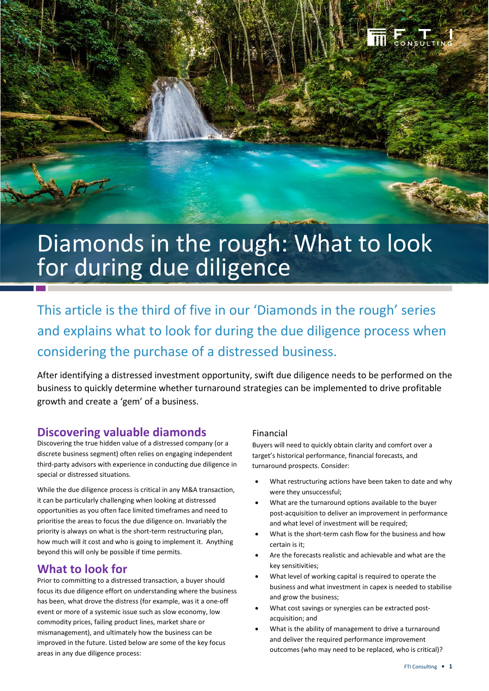

# Diamonds in the rough: What to look for during due diligence

This article is the third of five in our 'Diamonds in the rough' series and explains what to look for during the due diligence process when considering the purchase of a distressed business.

After identifying a distressed investment opportunity, swift due diligence needs to be performed on the business to quickly determine whether turnaround strategies can be implemented to drive profitable growth and create a 'gem' of a business.

## **Discovering valuable diamonds**

Discovering the true hidden value of a distressed company (or a discrete business segment) often relies on engaging independent third-party advisors with experience in conducting due diligence in special or distressed situations.

While the due diligence process is critical in any M&A transaction, it can be particularly challenging when looking at distressed opportunities as you often face limited timeframes and need to prioritise the areas to focus the due diligence on. Invariably the priority is always on what is the short-term restructuring plan, how much will it cost and who is going to implement it. Anything beyond this will only be possible if time permits.

## **What to look for**

Prior to committing to a distressed transaction, a buyer should focus its due diligence effort on understanding where the business has been, what drove the distress (for example, was it a one-off event or more of a systemic issue such as slow economy, low commodity prices, failing product lines, market share or mismanagement), and ultimately how the business can be improved in the future. Listed below are some of the key focus areas in any due diligence process:

#### Financial

Buyers will need to quickly obtain clarity and comfort over a target's historical performance, financial forecasts, and turnaround prospects. Consider:

- What restructuring actions have been taken to date and why were they unsuccessful;
- What are the turnaround options available to the buyer post-acquisition to deliver an improvement in performance and what level of investment will be required;
- What is the short-term cash flow for the business and how certain is it;
- Are the forecasts realistic and achievable and what are the key sensitivities;
- What level of working capital is required to operate the business and what investment in capex is needed to stabilise and grow the business;
- What cost savings or synergies can be extracted postacquisition; and
- What is the ability of management to drive a turnaround and deliver the required performance improvement outcomes (who may need to be replaced, who is critical)?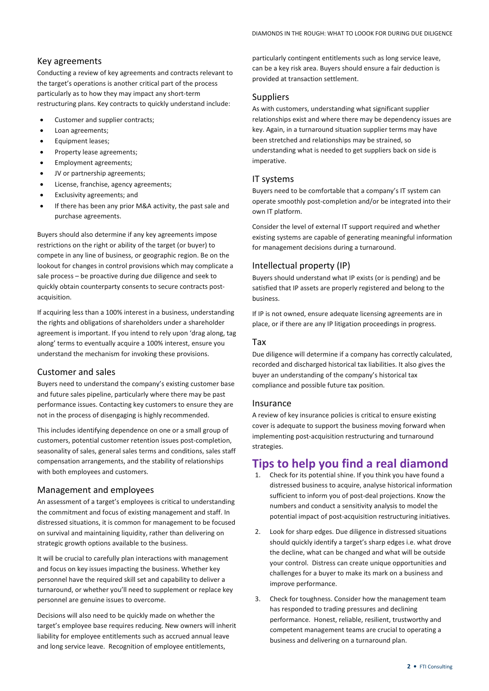#### Key agreements

Conducting a review of key agreements and contracts relevant to the target's operations is another critical part of the process particularly as to how they may impact any short-term restructuring plans. Key contracts to quickly understand include:

- Customer and supplier contracts;
- Loan agreements;
- Equipment leases;
- Property lease agreements;
- Employment agreements;
- JV or partnership agreements;
- License, franchise, agency agreements;
- Exclusivity agreements; and
- If there has been any prior M&A activity, the past sale and purchase agreements.

Buyers should also determine if any key agreements impose restrictions on the right or ability of the target (or buyer) to compete in any line of business, or geographic region. Be on the lookout for changes in control provisions which may complicate a sale process – be proactive during due diligence and seek to quickly obtain counterparty consents to secure contracts postacquisition.

If acquiring less than a 100% interest in a business, understanding the rights and obligations of shareholders under a shareholder agreement is important. If you intend to rely upon 'drag along, tag along' terms to eventually acquire a 100% interest, ensure you understand the mechanism for invoking these provisions.

#### Customer and sales

Buyers need to understand the company's existing customer base and future sales pipeline, particularly where there may be past performance issues. Contacting key customers to ensure they are not in the process of disengaging is highly recommended.

This includes identifying dependence on one or a small group of customers, potential customer retention issues post-completion, seasonality of sales, general sales terms and conditions, sales staff compensation arrangements, and the stability of relationships with both employees and customers.

#### Management and employees

An assessment of a target's employees is critical to understanding the commitment and focus of existing management and staff. In distressed situations, it is common for management to be focused on survival and maintaining liquidity, rather than delivering on strategic growth options available to the business.

It will be crucial to carefully plan interactions with management and focus on key issues impacting the business. Whether key personnel have the required skill set and capability to deliver a turnaround, or whether you'll need to supplement or replace key personnel are genuine issues to overcome.

Decisions will also need to be quickly made on whether the target's employee base requires reducing. New owners will inherit liability for employee entitlements such as accrued annual leave and long service leave. Recognition of employee entitlements,

particularly contingent entitlements such as long service leave, can be a key risk area. Buyers should ensure a fair deduction is provided at transaction settlement.

#### Suppliers

As with customers, understanding what significant supplier relationships exist and where there may be dependency issues are key. Again, in a turnaround situation supplier terms may have been stretched and relationships may be strained, so understanding what is needed to get suppliers back on side is imperative.

#### IT systems

Buyers need to be comfortable that a company's IT system can operate smoothly post-completion and/or be integrated into their own IT platform.

Consider the level of external IT support required and whether existing systems are capable of generating meaningful information for management decisions during a turnaround.

#### Intellectual property (IP)

Buyers should understand what IP exists (or is pending) and be satisfied that IP assets are properly registered and belong to the business.

If IP is not owned, ensure adequate licensing agreements are in place, or if there are any IP litigation proceedings in progress.

#### Tax

Due diligence will determine if a company has correctly calculated, recorded and discharged historical tax liabilities. It also gives the buyer an understanding of the company's historical tax compliance and possible future tax position.

#### Insurance

A review of key insurance policies is critical to ensure existing cover is adequate to support the business moving forward when implementing post-acquisition restructuring and turnaround strategies.

# **Tips to help you find a real diamond**<br>1. Check for its potential shine. If you think you have found a

- 1. Check for its potential shine. If you think you have found a distressed business to acquire, analyse historical information sufficient to inform you of post-deal projections. Know the numbers and conduct a sensitivity analysis to model the potential impact of post-acquisition restructuring initiatives.
- 2. Look for sharp edges. Due diligence in distressed situations should quickly identify a target's sharp edges i.e. what drove the decline, what can be changed and what will be outside your control. Distress can create unique opportunities and challenges for a buyer to make its mark on a business and improve performance.
- 3. Check for toughness. Consider how the management team has responded to trading pressures and declining performance. Honest, reliable, resilient, trustworthy and competent management teams are crucial to operating a business and delivering on a turnaround plan.